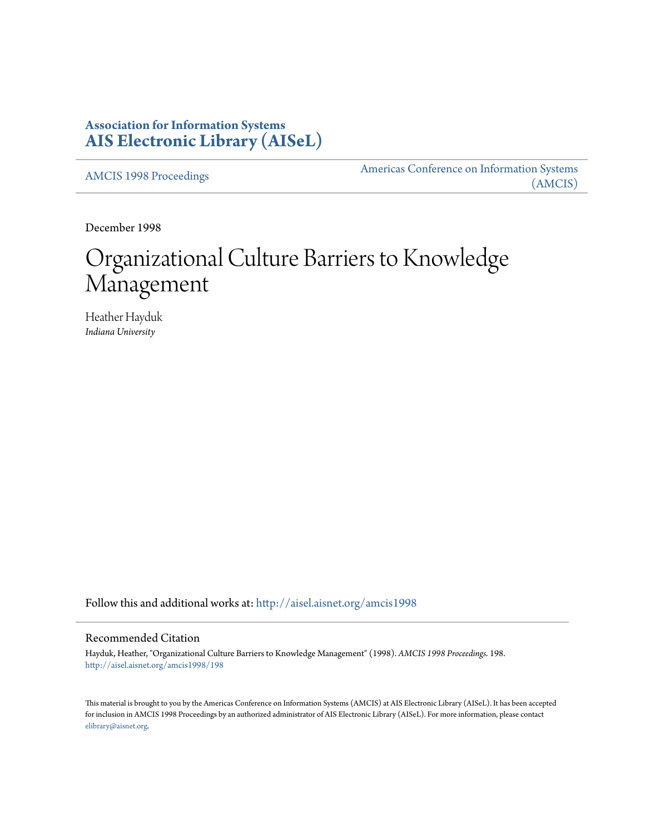# **Association for Information Systems [AIS Electronic Library \(AISeL\)](http://aisel.aisnet.org?utm_source=aisel.aisnet.org%2Famcis1998%2F198&utm_medium=PDF&utm_campaign=PDFCoverPages)**

[AMCIS 1998 Proceedings](http://aisel.aisnet.org/amcis1998?utm_source=aisel.aisnet.org%2Famcis1998%2F198&utm_medium=PDF&utm_campaign=PDFCoverPages)

[Americas Conference on Information Systems](http://aisel.aisnet.org/amcis?utm_source=aisel.aisnet.org%2Famcis1998%2F198&utm_medium=PDF&utm_campaign=PDFCoverPages) [\(AMCIS\)](http://aisel.aisnet.org/amcis?utm_source=aisel.aisnet.org%2Famcis1998%2F198&utm_medium=PDF&utm_campaign=PDFCoverPages)

December 1998

# Organizational Culture Barriers to Knowledge Management

Heather Hayduk *Indiana University*

Follow this and additional works at: [http://aisel.aisnet.org/amcis1998](http://aisel.aisnet.org/amcis1998?utm_source=aisel.aisnet.org%2Famcis1998%2F198&utm_medium=PDF&utm_campaign=PDFCoverPages)

# Recommended Citation

Hayduk, Heather, "Organizational Culture Barriers to Knowledge Management" (1998). *AMCIS 1998 Proceedings*. 198. [http://aisel.aisnet.org/amcis1998/198](http://aisel.aisnet.org/amcis1998/198?utm_source=aisel.aisnet.org%2Famcis1998%2F198&utm_medium=PDF&utm_campaign=PDFCoverPages)

This material is brought to you by the Americas Conference on Information Systems (AMCIS) at AIS Electronic Library (AISeL). It has been accepted for inclusion in AMCIS 1998 Proceedings by an authorized administrator of AIS Electronic Library (AISeL). For more information, please contact [elibrary@aisnet.org.](mailto:elibrary@aisnet.org%3E)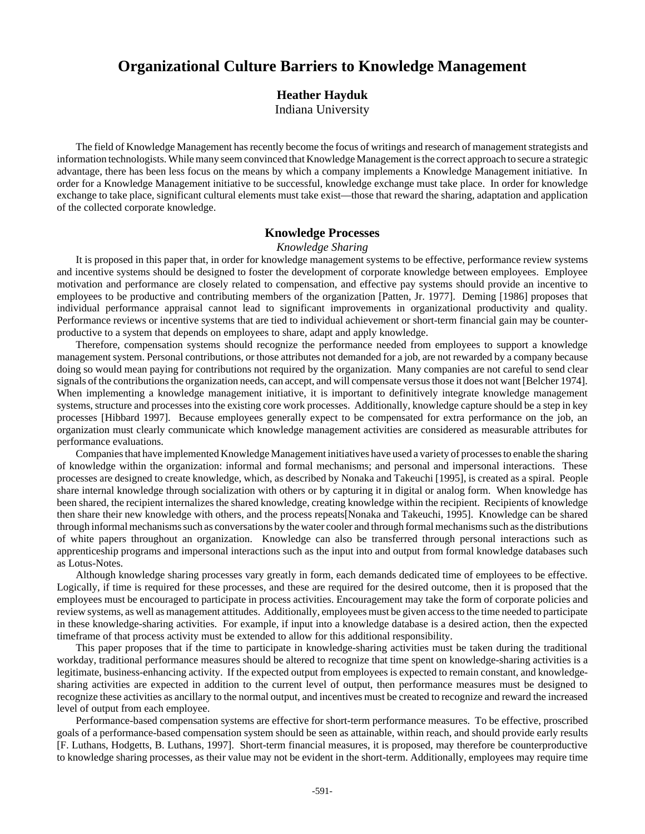# **Organizational Culture Barriers to Knowledge Management**

## **Heather Hayduk**

Indiana University

The field of Knowledge Management has recently become the focus of writings and research of management strategists and information technologists. While many seem convinced that Knowledge Management is the correct approach to secure a strategic advantage, there has been less focus on the means by which a company implements a Knowledge Management initiative. In order for a Knowledge Management initiative to be successful, knowledge exchange must take place. In order for knowledge exchange to take place, significant cultural elements must take exist—those that reward the sharing, adaptation and application of the collected corporate knowledge.

## **Knowledge Processes**

#### *Knowledge Sharing*

It is proposed in this paper that, in order for knowledge management systems to be effective, performance review systems and incentive systems should be designed to foster the development of corporate knowledge between employees. Employee motivation and performance are closely related to compensation, and effective pay systems should provide an incentive to employees to be productive and contributing members of the organization [Patten, Jr. 1977]. Deming [1986] proposes that individual performance appraisal cannot lead to significant improvements in organizational productivity and quality. Performance reviews or incentive systems that are tied to individual achievement or short-term financial gain may be counterproductive to a system that depends on employees to share, adapt and apply knowledge.

Therefore, compensation systems should recognize the performance needed from employees to support a knowledge management system. Personal contributions, or those attributes not demanded for a job, are not rewarded by a company because doing so would mean paying for contributions not required by the organization. Many companies are not careful to send clear signals of the contributions the organization needs, can accept, and will compensate versus those it does not want [Belcher 1974]. When implementing a knowledge management initiative, it is important to definitively integrate knowledge management systems, structure and processes into the existing core work processes. Additionally, knowledge capture should be a step in key processes [Hibbard 1997].Because employees generally expect to be compensated for extra performance on the job, an organization must clearly communicate which knowledge management activities are considered as measurable attributes for performance evaluations.

Companies that have implemented Knowledge Management initiatives have used a variety of processes to enable the sharing of knowledge within the organization: informal and formal mechanisms; and personal and impersonal interactions. These processes are designed to create knowledge, which, as described by Nonaka and Takeuchi [1995], is created as a spiral. People share internal knowledge through socialization with others or by capturing it in digital or analog form. When knowledge has been shared, the recipient internalizes the shared knowledge, creating knowledge within the recipient. Recipients of knowledge then share their new knowledge with others, and the process repeats[Nonaka and Takeuchi, 1995]. Knowledge can be shared through informal mechanisms such as conversations by the water cooler and through formal mechanisms such as the distributions of white papers throughout an organization. Knowledge can also be transferred through personal interactions such as apprenticeship programs and impersonal interactions such as the input into and output from formal knowledge databases such as Lotus-Notes.

Although knowledge sharing processes vary greatly in form, each demands dedicated time of employees to be effective. Logically, if time is required for these processes, and these are required for the desired outcome, then it is proposed that the employees must be encouraged to participate in process activities. Encouragement may take the form of corporate policies and review systems, as well as management attitudes. Additionally, employees must be given access to the time needed to participate in these knowledge-sharing activities. For example, if input into a knowledge database is a desired action, then the expected timeframe of that process activity must be extended to allow for this additional responsibility.

This paper proposes that if the time to participate in knowledge-sharing activities must be taken during the traditional workday, traditional performance measures should be altered to recognize that time spent on knowledge-sharing activities is a legitimate, business-enhancing activity. If the expected output from employees is expected to remain constant, and knowledgesharing activities are expected in addition to the current level of output, then performance measures must be designed to recognize these activities as ancillary to the normal output, and incentives must be created to recognize and reward the increased level of output from each employee.

Performance-based compensation systems are effective for short-term performance measures. To be effective, proscribed goals of a performance-based compensation system should be seen as attainable, within reach, and should provide early results [F. Luthans, Hodgetts, B. Luthans, 1997]. Short-term financial measures, it is proposed, may therefore be counterproductive to knowledge sharing processes, as their value may not be evident in the short-term. Additionally, employees may require time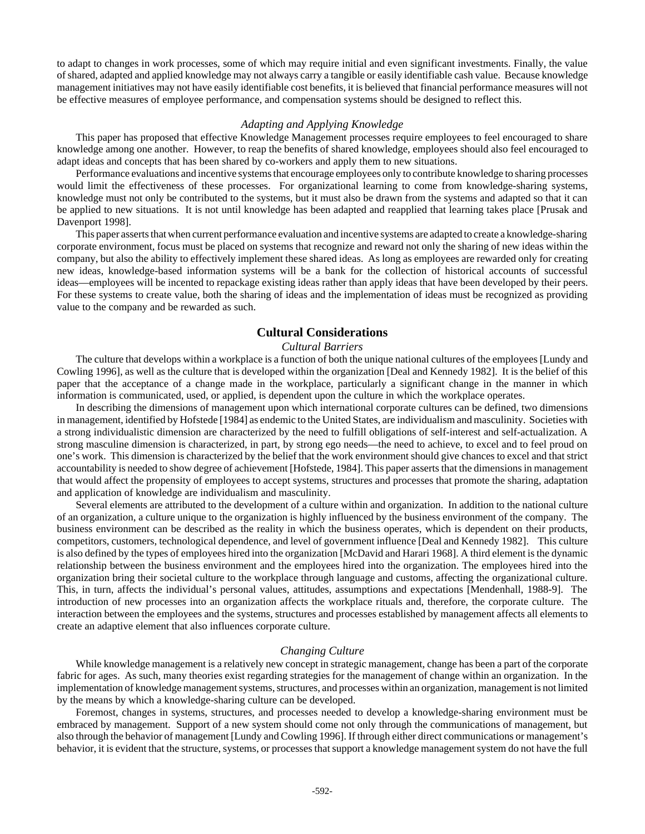to adapt to changes in work processes, some of which may require initial and even significant investments. Finally, the value of shared, adapted and applied knowledge may not always carry a tangible or easily identifiable cash value. Because knowledge management initiatives may not have easily identifiable cost benefits, it is believed that financial performance measures will not be effective measures of employee performance, and compensation systems should be designed to reflect this.

#### *Adapting and Applying Knowledge*

This paper has proposed that effective Knowledge Management processes require employees to feel encouraged to share knowledge among one another. However, to reap the benefits of shared knowledge, employees should also feel encouraged to adapt ideas and concepts that has been shared by co-workers and apply them to new situations.

Performance evaluations and incentive systems that encourage employees only to contribute knowledge to sharing processes would limit the effectiveness of these processes. For organizational learning to come from knowledge-sharing systems, knowledge must not only be contributed to the systems, but it must also be drawn from the systems and adapted so that it can be applied to new situations. It is not until knowledge has been adapted and reapplied that learning takes place [Prusak and Davenport 1998].

This paper asserts that when current performance evaluation and incentive systems are adapted to create a knowledge-sharing corporate environment, focus must be placed on systems that recognize and reward not only the sharing of new ideas within the company, but also the ability to effectively implement these shared ideas. As long as employees are rewarded only for creating new ideas, knowledge-based information systems will be a bank for the collection of historical accounts of successful ideas—employees will be incented to repackage existing ideas rather than apply ideas that have been developed by their peers. For these systems to create value, both the sharing of ideas and the implementation of ideas must be recognized as providing value to the company and be rewarded as such.

# **Cultural Considerations**

## *Cultural Barriers*

The culture that develops within a workplace is a function of both the unique national cultures of the employees [Lundy and Cowling 1996], as well as the culture that is developed within the organization [Deal and Kennedy 1982]. It is the belief of this paper that the acceptance of a change made in the workplace, particularly a significant change in the manner in which information is communicated, used, or applied, is dependent upon the culture in which the workplace operates.

In describing the dimensions of management upon which international corporate cultures can be defined, two dimensions in management, identified by Hofstede [1984] as endemic to the United States, are individualism and masculinity. Societies with a strong individualistic dimension are characterized by the need to fulfill obligations of self-interest and self-actualization. A strong masculine dimension is characterized, in part, by strong ego needs—the need to achieve, to excel and to feel proud on one's work. This dimension is characterized by the belief that the work environment should give chances to excel and that strict accountability is needed to show degree of achievement [Hofstede, 1984]. This paper asserts that the dimensions in management that would affect the propensity of employees to accept systems, structures and processes that promote the sharing, adaptation and application of knowledge are individualism and masculinity.

Several elements are attributed to the development of a culture within and organization. In addition to the national culture of an organization, a culture unique to the organization is highly influenced by the business environment of the company. The business environment can be described as the reality in which the business operates, which is dependent on their products, competitors, customers, technological dependence, and level of government influence [Deal and Kennedy 1982]. This culture is also defined by the types of employees hired into the organization [McDavid and Harari 1968]. A third element is the dynamic relationship between the business environment and the employees hired into the organization. The employees hired into the organization bring their societal culture to the workplace through language and customs, affecting the organizational culture. This, in turn, affects the individual's personal values, attitudes, assumptions and expectations [Mendenhall, 1988-9]. The introduction of new processes into an organization affects the workplace rituals and, therefore, the corporate culture. The interaction between the employees and the systems, structures and processes established by management affects all elements to create an adaptive element that also influences corporate culture.

#### *Changing Culture*

While knowledge management is a relatively new concept in strategic management, change has been a part of the corporate fabric for ages. As such, many theories exist regarding strategies for the management of change within an organization. In the implementation of knowledge management systems, structures, and processes within an organization, management is not limited by the means by which a knowledge-sharing culture can be developed.

Foremost, changes in systems, structures, and processes needed to develop a knowledge-sharing environment must be embraced by management. Support of a new system should come not only through the communications of management, but also through the behavior of management [Lundy and Cowling 1996]. If through either direct communications or management's behavior, it is evident that the structure, systems, or processes that support a knowledge management system do not have the full